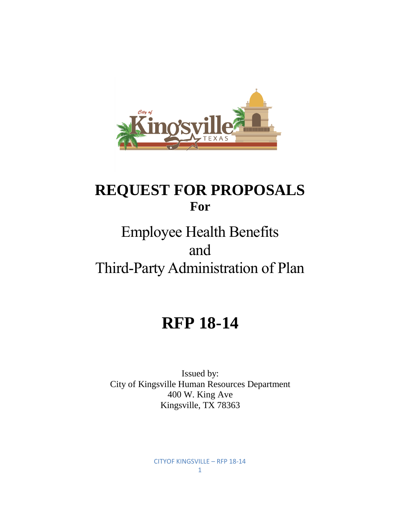

# **REQUEST FOR PROPOSALS For**

# Employee Health Benefits and Third-Party Administration of Plan

# **RFP 18-14**

Issued by: City of Kingsville Human Resources Department 400 W. King Ave Kingsville, TX 78363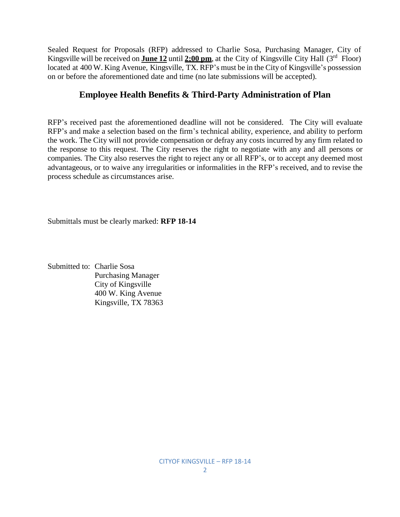Sealed Request for Proposals (RFP) addressed to Charlie Sosa, Purchasing Manager, City of Kingsville will be received on **June 12** until 2:00 pm, at the City of Kingsville City Hall (3<sup>rd</sup> Floor) located at 400 W. King Avenue, Kingsville, TX. RFP's must be in the City of Kingsville's possession on or before the aforementioned date and time (no late submissions will be accepted).

# **Employee Health Benefits & Third-Party Administration of Plan**

RFP's received past the aforementioned deadline will not be considered. The City will evaluate RFP's and make a selection based on the firm's technical ability, experience, and ability to perform the work. The City will not provide compensation or defray any costs incurred by any firm related to the response to this request. The City reserves the right to negotiate with any and all persons or companies. The City also reserves the right to reject any or all RFP's, or to accept any deemed most advantageous, or to waive any irregularities or informalities in the RFP's received, and to revise the process schedule as circumstances arise.

Submittals must be clearly marked: **RFP 18-14**

Submitted to: Charlie Sosa Purchasing Manager City of Kingsville 400 W. King Avenue Kingsville, TX 78363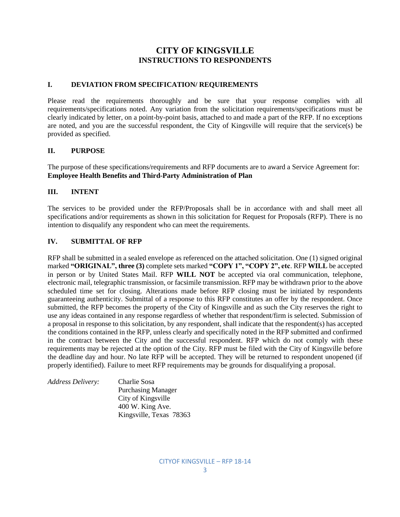# **CITY OF KINGSVILLE INSTRUCTIONS TO RESPONDENTS**

#### **I. DEVIATION FROM SPECIFICATION/ REQUIREMENTS**

Please read the requirements thoroughly and be sure that your response complies with all requirements/specifications noted. Any variation from the solicitation requirements/specifications must be clearly indicated by letter, on a point-by-point basis, attached to and made a part of the RFP. If no exceptions are noted, and you are the successful respondent, the City of Kingsville will require that the service(s) be provided as specified.

#### **II. PURPOSE**

The purpose of these specifications/requirements and RFP documents are to award a Service Agreement for: **Employee Health Benefits and Third-Party Administration of Plan**

#### **III. INTENT**

The services to be provided under the RFP/Proposals shall be in accordance with and shall meet all specifications and/or requirements as shown in this solicitation for Request for Proposals (RFP). There is no intention to disqualify any respondent who can meet the requirements.

#### **IV. SUBMITTAL OF RFP**

RFP shall be submitted in a sealed envelope as referenced on the attached solicitation. One (1) signed original marked **"ORIGINAL", three (3)** complete sets marked **"COPY 1", "COPY 2", etc**. RFP **WILL** be accepted in person or by United States Mail. RFP **WILL NOT** be accepted via oral communication, telephone, electronic mail, telegraphic transmission, or facsimile transmission. RFP may be withdrawn prior to the above scheduled time set for closing. Alterations made before RFP closing must be initiated by respondents guaranteeing authenticity. Submittal of a response to this RFP constitutes an offer by the respondent. Once submitted, the RFP becomes the property of the City of Kingsville and as such the City reserves the right to use any ideas contained in any response regardless of whether that respondent/firm is selected. Submission of a proposal in response to this solicitation, by any respondent, shall indicate that the respondent(s) has accepted the conditions contained in the RFP, unless clearly and specifically noted in the RFP submitted and confirmed in the contract between the City and the successful respondent. RFP which do not comply with these requirements may be rejected at the option of the City. RFP must be filed with the City of Kingsville before the deadline day and hour. No late RFP will be accepted. They will be returned to respondent unopened (if properly identified). Failure to meet RFP requirements may be grounds for disqualifying a proposal.

*Address Delivery:* Charlie Sosa Purchasing Manager City of Kingsville 400 W. King Ave. Kingsville, Texas 78363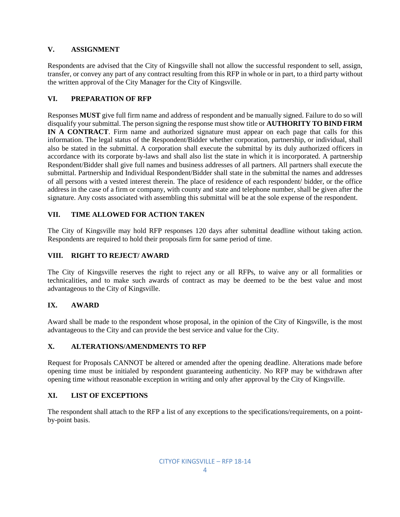## **V. ASSIGNMENT**

Respondents are advised that the City of Kingsville shall not allow the successful respondent to sell, assign, transfer, or convey any part of any contract resulting from this RFP in whole or in part, to a third party without the written approval of the City Manager for the City of Kingsville.

## **VI. PREPARATION OF RFP**

Responses **MUST** give full firm name and address of respondent and be manually signed. Failure to do so will disqualify your submittal. The person signing the response must show title or **AUTHORITY TO BIND FIRM IN A CONTRACT**. Firm name and authorized signature must appear on each page that calls for this information. The legal status of the Respondent/Bidder whether corporation, partnership, or individual, shall also be stated in the submittal. A corporation shall execute the submittal by its duly authorized officers in accordance with its corporate by-laws and shall also list the state in which it is incorporated. A partnership Respondent/Bidder shall give full names and business addresses of all partners. All partners shall execute the submittal. Partnership and Individual Respondent/Bidder shall state in the submittal the names and addresses of all persons with a vested interest therein. The place of residence of each respondent/ bidder, or the office address in the case of a firm or company, with county and state and telephone number, shall be given after the signature. Any costs associated with assembling this submittal will be at the sole expense of the respondent.

## **VII. TIME ALLOWED FOR ACTION TAKEN**

The City of Kingsville may hold RFP responses 120 days after submittal deadline without taking action. Respondents are required to hold their proposals firm for same period of time.

#### **VIII. RIGHT TO REJECT/ AWARD**

The City of Kingsville reserves the right to reject any or all RFPs, to waive any or all formalities or technicalities, and to make such awards of contract as may be deemed to be the best value and most advantageous to the City of Kingsville.

#### **IX. AWARD**

Award shall be made to the respondent whose proposal, in the opinion of the City of Kingsville, is the most advantageous to the City and can provide the best service and value for the City.

#### **X. ALTERATIONS/AMENDMENTS TO RFP**

Request for Proposals CANNOT be altered or amended after the opening deadline. Alterations made before opening time must be initialed by respondent guaranteeing authenticity. No RFP may be withdrawn after opening time without reasonable exception in writing and only after approval by the City of Kingsville.

#### **XI. LIST OF EXCEPTIONS**

The respondent shall attach to the RFP a list of any exceptions to the specifications/requirements, on a pointby-point basis.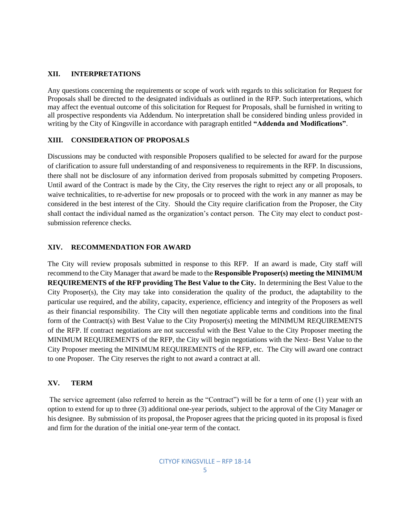#### **XII. INTERPRETATIONS**

Any questions concerning the requirements or scope of work with regards to this solicitation for Request for Proposals shall be directed to the designated individuals as outlined in the RFP. Such interpretations, which may affect the eventual outcome of this solicitation for Request for Proposals, shall be furnished in writing to all prospective respondents via Addendum. No interpretation shall be considered binding unless provided in writing by the City of Kingsville in accordance with paragraph entitled **"Addenda and Modifications"**.

#### **XIII. CONSIDERATION OF PROPOSALS**

Discussions may be conducted with responsible Proposers qualified to be selected for award for the purpose of clarification to assure full understanding of and responsiveness to requirements in the RFP. In discussions, there shall not be disclosure of any information derived from proposals submitted by competing Proposers. Until award of the Contract is made by the City, the City reserves the right to reject any or all proposals, to waive technicalities, to re-advertise for new proposals or to proceed with the work in any manner as may be considered in the best interest of the City. Should the City require clarification from the Proposer, the City shall contact the individual named as the organization's contact person. The City may elect to conduct postsubmission reference checks.

#### **XIV. RECOMMENDATION FOR AWARD**

The City will review proposals submitted in response to this RFP. If an award is made, City staff will recommend to the City Manager that award be made to the **Responsible Proposer(s) meeting the MINIMUM REQUIREMENTS of the RFP providing The Best Value to the City.** In determining the Best Value to the City Proposer(s), the City may take into consideration the quality of the product, the adaptability to the particular use required, and the ability, capacity, experience, efficiency and integrity of the Proposers as well as their financial responsibility. The City will then negotiate applicable terms and conditions into the final form of the Contract(s) with Best Value to the City Proposer(s) meeting the MINIMUM REQUIREMENTS of the RFP. If contract negotiations are not successful with the Best Value to the City Proposer meeting the MINIMUM REQUIREMENTS of the RFP, the City will begin negotiations with the Next- Best Value to the City Proposer meeting the MINIMUM REQUIREMENTS of the RFP, etc. The City will award one contract to one Proposer. The City reserves the right to not award a contract at all.

#### **XV. TERM**

The service agreement (also referred to herein as the "Contract") will be for a term of one (1) year with an option to extend for up to three (3) additional one-year periods, subject to the approval of the City Manager or his designee. By submission of its proposal, the Proposer agrees that the pricing quoted in its proposal is fixed and firm for the duration of the initial one-year term of the contact.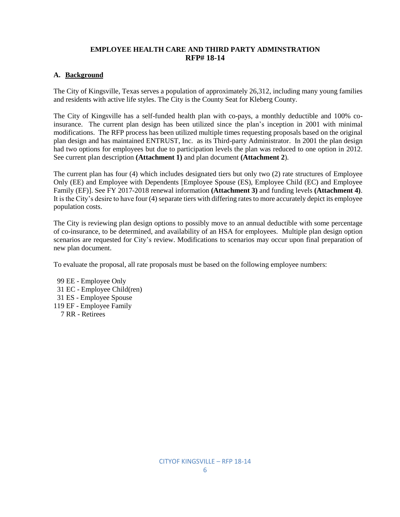#### **EMPLOYEE HEALTH CARE AND THIRD PARTY ADMINSTRATION RFP# 18-14**

#### **A. Background**

The City of Kingsville, Texas serves a population of approximately 26,312, including many young families and residents with active life styles. The City is the County Seat for Kleberg County.

The City of Kingsville has a self-funded health plan with co-pays, a monthly deductible and 100% coinsurance. The current plan design has been utilized since the plan's inception in 2001 with minimal modifications. The RFP process has been utilized multiple times requesting proposals based on the original plan design and has maintained ENTRUST, Inc. as its Third-party Administrator. In 2001 the plan design had two options for employees but due to participation levels the plan was reduced to one option in 2012. See current plan description **(Attachment 1)** and plan document **(Attachment 2**).

The current plan has four (4) which includes designated tiers but only two (2) rate structures of Employee Only (EE) and Employee with Dependents [Employee Spouse (ES), Employee Child (EC) and Employee Family (EF)]. See FY 2017-2018 renewal information **(Attachment 3)** and funding levels **(Attachment 4)**. It is the City's desire to have four (4) separate tiers with differing rates to more accurately depict its employee population costs.

The City is reviewing plan design options to possibly move to an annual deductible with some percentage of co-insurance, to be determined, and availability of an HSA for employees. Multiple plan design option scenarios are requested for City's review. Modifications to scenarios may occur upon final preparation of new plan document.

To evaluate the proposal, all rate proposals must be based on the following employee numbers:

- 99 EE Employee Only
- 31 EC Employee Child(ren)
- 31 ES Employee Spouse
- 119 EF Employee Family
	- 7 RR Retirees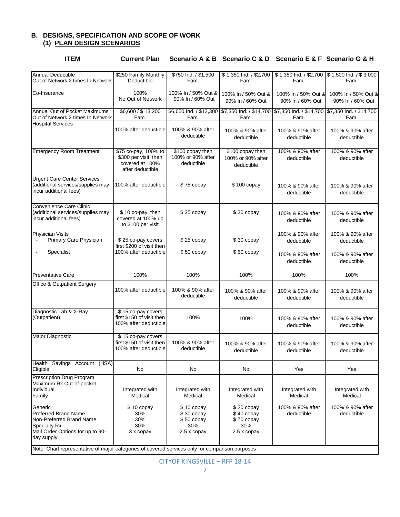#### **B. DESIGNS, SPECIFICATION AND SCOPE OF WORK (1) PLAN DESIGN SCENARIOS**

| <b>Annual Deductible</b><br>Out of Network 2 times In Network                                                                        | \$250 Family Monthly<br>Deductible                                                   | \$750 Ind. / \$1,500<br>Fam.                                    | \$1,350 lnd. / \$2,700<br>Fam.                                  | \$1,350 lnd. / \$2,700<br>Fam.                                                      | \$1,500 lnd. / \$3,000<br>Fam.          |
|--------------------------------------------------------------------------------------------------------------------------------------|--------------------------------------------------------------------------------------|-----------------------------------------------------------------|-----------------------------------------------------------------|-------------------------------------------------------------------------------------|-----------------------------------------|
| Co-Insurance                                                                                                                         | 100%<br>No Out of Network                                                            | 100% In / 50% Out &<br>90% In / 60% Out                         | 100% In / 50% Out &<br>90% In / 60% Out                         | 100% In / 50% Out &<br>90% In / 60% Out                                             | 100% In / 50% Out &<br>90% In / 60% Out |
| Annual Out of Pocket Maximums<br>Out of Network 2 times In Network                                                                   | \$6,600 / \$13,200<br>Fam.                                                           | \$6,650 Ind. / \$13,300<br>Fam.                                 | Fam.                                                            | \$7,350 Ind. / \$14,700   \$7,350 Ind. / \$14,700   \$7,350 Ind. / \$14,700<br>Fam. | Fam.                                    |
| <b>Hospital Services</b>                                                                                                             | 100% after deductible                                                                | 100% & 90% after<br>deductible                                  | 100% & 90% after<br>deductible                                  | 100% & 90% after<br>deductible                                                      | 100% & 90% after<br>deductible          |
| <b>Emergency Room Treatment</b>                                                                                                      | \$75 co-pay, 100% to<br>\$300 per visit, then<br>covered at 100%<br>after deductible | \$100 copay then<br>100% or 90% after<br>deductible             | \$100 copay then<br>100% or 90% after<br>deductible             | 100% & 90% after<br>deductible                                                      | 100% & 90% after<br>deductible          |
| <b>Urgent Care Center Services</b><br>(additional services/supplies may<br>incur additional fees)                                    | 100% after deductible                                                                | \$75 copay                                                      | \$100 copay                                                     | 100% & 90% after<br>deductible                                                      | 100% & 90% after<br>deductible          |
| Convenience Care Clinic<br>(additional services/supplies may<br>incur additional fees)                                               | \$10 co-pay, then<br>covered at 100% up<br>to \$100 per visit                        | $$25$ copay                                                     | $$30$ copay                                                     | 100% & 90% after<br>deductible                                                      | 100% & 90% after<br>deductible          |
| <b>Physician Visits</b><br>Primary Care Physician                                                                                    | \$25 co-pay covers<br>first \$200 of visit then                                      | $$25$ copay                                                     | \$30 copay                                                      | 100% & 90% after<br>deductible                                                      | 100% & 90% after<br>deductible          |
| Specialist<br>$\blacksquare$                                                                                                         | 100% after deductible                                                                | $$50$ copay                                                     | \$60 copay                                                      | 100% & 90% after<br>deductible                                                      | 100% & 90% after<br>deductible          |
| <b>Preventative Care</b>                                                                                                             | 100%                                                                                 | 100%                                                            | 100%                                                            | 100%                                                                                | 100%                                    |
| <b>Office &amp; Outpatient Surgery</b>                                                                                               | 100% after deductible                                                                | 100% & 90% after<br>deductible                                  | 100% & 90% after<br>deductible                                  | 100% & 90% after<br>deductible                                                      | 100% & 90% after<br>deductible          |
| Diagnostic Lab & X-Ray<br>(Outpatient)                                                                                               | \$15 co-pay covers<br>first \$150 of visit then<br>100% after deductible             | 100%                                                            | 100%                                                            | 100% & 90% after<br>deductible                                                      | 100% & 90% after<br>deductible          |
| Major Diagnostic                                                                                                                     | \$15 co-pay covers<br>first \$150 of visit then<br>100% after deductible             | 100% & 90% after<br>deductible                                  | 100% & 90% after<br>deductible                                  | 100% & 90% after<br>deductible                                                      | 100% & 90% after<br>deductible          |
| Health Savings Account (HSA)<br>Eligible                                                                                             | No                                                                                   | No                                                              | No                                                              | Yes                                                                                 | Yes                                     |
| Prescription Drug Program<br>Maximum Rx Out-of-pocket<br>Individual<br>Family                                                        | Integrated with<br>Medical                                                           | Integrated with<br>Medical                                      | Integrated with<br>Medical                                      | Integrated with<br>Medical                                                          | Integrated with<br>Medical              |
| Generic<br><b>Preferred Brand Name</b><br>Non-Preferred Brand Name<br>Specialty Rx<br>Mail Order Options for up to 90-<br>day supply | $$10$ copay<br>30%<br>30%<br>30%<br>3 x copay                                        | $$10$ copay<br>$$30$ copay<br>$$50$ copay<br>30%<br>2.5 x copay | $$20$ copay<br>$$40$ copay<br>$$70$ copay<br>30%<br>2.5 x copay | 100% & 90% after<br>deductible                                                      | 100% & 90% after<br>deductible          |
| Note: Chart representative of major categories of covered services only for comparison purposes                                      |                                                                                      |                                                                 |                                                                 |                                                                                     |                                         |

**ITEM Current Plan Scenario A & B Scenario C & D Scenario E & F Scenario G & H**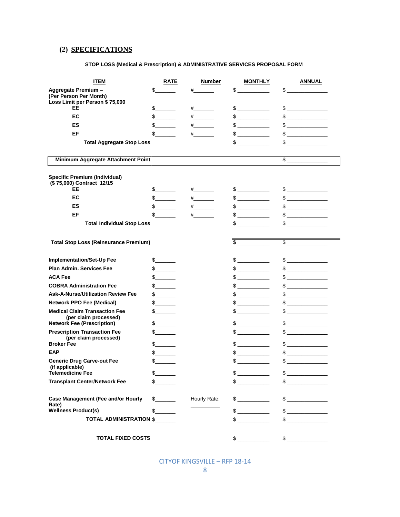## **(2) SPECIFICATIONS**

#### **STOP LOSS (Medical & Prescription) & ADMINISTRATIVE SERVICES PROPOSAL FORM**

| <b>ITEM</b>                                                       | <b>RATE</b>   | <b>Number</b>            | <b>MONTHLY</b>                                                                                                                                                                                                                                                                                                                                      | <u>ANNUAL</u>                                                                                                                                                                                                                                                                                                                                       |
|-------------------------------------------------------------------|---------------|--------------------------|-----------------------------------------------------------------------------------------------------------------------------------------------------------------------------------------------------------------------------------------------------------------------------------------------------------------------------------------------------|-----------------------------------------------------------------------------------------------------------------------------------------------------------------------------------------------------------------------------------------------------------------------------------------------------------------------------------------------------|
| Aggregate Premium -                                               | $\frac{1}{2}$ | $\#$ and $\#$            | $\frac{1}{2}$                                                                                                                                                                                                                                                                                                                                       | $\sim$                                                                                                                                                                                                                                                                                                                                              |
| (Per Person Per Month)                                            |               |                          |                                                                                                                                                                                                                                                                                                                                                     |                                                                                                                                                                                                                                                                                                                                                     |
| Loss Limit per Person \$75,000<br>EE                              | $\frac{1}{2}$ | $\#$ and the set of $\#$ | $\frac{1}{2}$                                                                                                                                                                                                                                                                                                                                       | $\frac{1}{2}$                                                                                                                                                                                                                                                                                                                                       |
| EC                                                                | $\mathbb{S}$  | $#$ and $#$              | $\frac{1}{2}$                                                                                                                                                                                                                                                                                                                                       | $\frac{1}{2}$                                                                                                                                                                                                                                                                                                                                       |
| ES                                                                | $\frac{1}{2}$ | $\#$ and the set of $\#$ | $\begin{picture}(20,20) \put(0,0){\line(1,0){10}} \put(15,0){\line(1,0){10}} \put(15,0){\line(1,0){10}} \put(15,0){\line(1,0){10}} \put(15,0){\line(1,0){10}} \put(15,0){\line(1,0){10}} \put(15,0){\line(1,0){10}} \put(15,0){\line(1,0){10}} \put(15,0){\line(1,0){10}} \put(15,0){\line(1,0){10}} \put(15,0){\line(1,0){10}} \put(15,0){\line(1$ | $\begin{picture}(20,20) \put(0,0){\line(1,0){100}} \put(15,0){\line(1,0){100}} \put(15,0){\line(1,0){100}} \put(15,0){\line(1,0){100}} \put(15,0){\line(1,0){100}} \put(15,0){\line(1,0){100}} \put(15,0){\line(1,0){100}} \put(15,0){\line(1,0){100}} \put(15,0){\line(1,0){100}} \put(15,0){\line(1,0){100}} \put(15,0){\line(1,0){100}} \$       |
| EF                                                                | $\mathbb{S}$  | $\#$ and $\#$            | $\sim$                                                                                                                                                                                                                                                                                                                                              | $\mathbb{S}$                                                                                                                                                                                                                                                                                                                                        |
| <b>Total Aggregate Stop Loss</b>                                  |               |                          | $\begin{picture}(20,20) \put(0,0){\line(1,0){10}} \put(15,0){\line(1,0){10}} \put(15,0){\line(1,0){10}} \put(15,0){\line(1,0){10}} \put(15,0){\line(1,0){10}} \put(15,0){\line(1,0){10}} \put(15,0){\line(1,0){10}} \put(15,0){\line(1,0){10}} \put(15,0){\line(1,0){10}} \put(15,0){\line(1,0){10}} \put(15,0){\line(1,0){10}} \put(15,0){\line(1$ | $\frac{1}{2}$                                                                                                                                                                                                                                                                                                                                       |
|                                                                   |               |                          |                                                                                                                                                                                                                                                                                                                                                     |                                                                                                                                                                                                                                                                                                                                                     |
| Minimum Aggregate Attachment Point                                |               |                          |                                                                                                                                                                                                                                                                                                                                                     | $$\frac{1}{2}$$                                                                                                                                                                                                                                                                                                                                     |
| <b>Specific Premium (Individual)</b><br>(\$75,000) Contract 12/15 |               |                          |                                                                                                                                                                                                                                                                                                                                                     |                                                                                                                                                                                                                                                                                                                                                     |
| EE                                                                | $\frac{1}{2}$ | $\#$ and the set of $\#$ | $\frac{1}{2}$                                                                                                                                                                                                                                                                                                                                       | $\frac{1}{2}$                                                                                                                                                                                                                                                                                                                                       |
| EC                                                                | $\mathbb S$   | $\#$ and $\#$            | $\frac{1}{2}$                                                                                                                                                                                                                                                                                                                                       | $\frac{1}{2}$                                                                                                                                                                                                                                                                                                                                       |
| ES                                                                | $\frac{1}{2}$ | $\frac{+}{-}$            | $\begin{picture}(20,20) \put(0,0){\line(1,0){10}} \put(15,0){\line(1,0){10}} \put(15,0){\line(1,0){10}} \put(15,0){\line(1,0){10}} \put(15,0){\line(1,0){10}} \put(15,0){\line(1,0){10}} \put(15,0){\line(1,0){10}} \put(15,0){\line(1,0){10}} \put(15,0){\line(1,0){10}} \put(15,0){\line(1,0){10}} \put(15,0){\line(1,0){10}} \put(15,0){\line(1$ | $\frac{1}{2}$                                                                                                                                                                                                                                                                                                                                       |
| EF                                                                | $\mathbb{S}$  | $\#$ and $\#$            | $\frac{1}{2}$                                                                                                                                                                                                                                                                                                                                       | $\mathbb{S}$                                                                                                                                                                                                                                                                                                                                        |
| <b>Total Individual Stop Loss</b>                                 |               |                          | $\frac{1}{2}$                                                                                                                                                                                                                                                                                                                                       | $\frac{1}{2}$                                                                                                                                                                                                                                                                                                                                       |
|                                                                   |               |                          |                                                                                                                                                                                                                                                                                                                                                     |                                                                                                                                                                                                                                                                                                                                                     |
| <b>Total Stop Loss (Reinsurance Premium)</b>                      |               |                          | $\mathbb{S}$                                                                                                                                                                                                                                                                                                                                        | $\frac{1}{2}$                                                                                                                                                                                                                                                                                                                                       |
| <b>Implementation/Set-Up Fee</b>                                  | $\frac{1}{2}$ |                          | $\qquad \qquad \$$                                                                                                                                                                                                                                                                                                                                  | $\frac{1}{2}$                                                                                                                                                                                                                                                                                                                                       |
| <b>Plan Admin, Services Fee</b>                                   |               |                          | $\frac{1}{2}$                                                                                                                                                                                                                                                                                                                                       |                                                                                                                                                                                                                                                                                                                                                     |
| <b>ACA Fee</b>                                                    | $\frac{1}{2}$ |                          | $\frac{1}{2}$                                                                                                                                                                                                                                                                                                                                       | $\frac{1}{2}$                                                                                                                                                                                                                                                                                                                                       |
| <b>COBRA Administration Fee</b>                                   |               |                          | $\frac{1}{2}$                                                                                                                                                                                                                                                                                                                                       | $\begin{picture}(20,20) \put(0,0){\line(1,0){10}} \put(15,0){\line(1,0){10}} \put(15,0){\line(1,0){10}} \put(15,0){\line(1,0){10}} \put(15,0){\line(1,0){10}} \put(15,0){\line(1,0){10}} \put(15,0){\line(1,0){10}} \put(15,0){\line(1,0){10}} \put(15,0){\line(1,0){10}} \put(15,0){\line(1,0){10}} \put(15,0){\line(1,0){10}} \put(15,0){\line(1$ |
| <b>Ask-A-Nurse/Utilization Review Fee</b>                         | s             |                          | $\mathbb S$                                                                                                                                                                                                                                                                                                                                         | $\mathbb{S}$                                                                                                                                                                                                                                                                                                                                        |
| <b>Network PPO Fee (Medical)</b>                                  | s             |                          | $\begin{picture}(20,20) \put(0,0){\line(1,0){10}} \put(15,0){\line(1,0){10}} \put(15,0){\line(1,0){10}} \put(15,0){\line(1,0){10}} \put(15,0){\line(1,0){10}} \put(15,0){\line(1,0){10}} \put(15,0){\line(1,0){10}} \put(15,0){\line(1,0){10}} \put(15,0){\line(1,0){10}} \put(15,0){\line(1,0){10}} \put(15,0){\line(1,0){10}} \put(15,0){\line(1$ | $\begin{array}{c} \updownarrow \\ \downarrow \end{array}$                                                                                                                                                                                                                                                                                           |
| <b>Medical Claim Transaction Fee</b>                              | s             |                          | $\frac{1}{2}$                                                                                                                                                                                                                                                                                                                                       | $\sim$                                                                                                                                                                                                                                                                                                                                              |
| (per claim processed)<br><b>Network Fee (Prescription)</b>        | $\frac{1}{2}$ |                          | $\begin{picture}(20,20) \put(0,0){\line(1,0){10}} \put(15,0){\line(1,0){10}} \put(15,0){\line(1,0){10}} \put(15,0){\line(1,0){10}} \put(15,0){\line(1,0){10}} \put(15,0){\line(1,0){10}} \put(15,0){\line(1,0){10}} \put(15,0){\line(1,0){10}} \put(15,0){\line(1,0){10}} \put(15,0){\line(1,0){10}} \put(15,0){\line(1,0){10}} \put(15,0){\line(1$ | $\frac{1}{2}$                                                                                                                                                                                                                                                                                                                                       |
| <b>Prescription Transaction Fee</b>                               | s             |                          | $\begin{picture}(20,20) \put(0,0){\line(1,0){10}} \put(15,0){\line(1,0){10}} \put(15,0){\line(1,0){10}} \put(15,0){\line(1,0){10}} \put(15,0){\line(1,0){10}} \put(15,0){\line(1,0){10}} \put(15,0){\line(1,0){10}} \put(15,0){\line(1,0){10}} \put(15,0){\line(1,0){10}} \put(15,0){\line(1,0){10}} \put(15,0){\line(1,0){10}} \put(15,0){\line(1$ | $\begin{picture}(20,20) \put(0,0){\line(1,0){100}} \put(15,0){\line(1,0){100}} \put(15,0){\line(1,0){100}} \put(15,0){\line(1,0){100}} \put(15,0){\line(1,0){100}} \put(15,0){\line(1,0){100}} \put(15,0){\line(1,0){100}} \put(15,0){\line(1,0){100}} \put(15,0){\line(1,0){100}} \put(15,0){\line(1,0){100}} \put(15,0){\line(1,0){100}} \$       |
| (per claim processed)                                             |               |                          |                                                                                                                                                                                                                                                                                                                                                     |                                                                                                                                                                                                                                                                                                                                                     |
| <b>Broker Fee</b>                                                 | s             |                          |                                                                                                                                                                                                                                                                                                                                                     | $\frac{1}{2}$                                                                                                                                                                                                                                                                                                                                       |
| <b>EAP</b>                                                        | s             |                          | $\begin{picture}(20,20) \put(0,0){\line(1,0){10}} \put(15,0){\line(1,0){10}} \put(15,0){\line(1,0){10}} \put(15,0){\line(1,0){10}} \put(15,0){\line(1,0){10}} \put(15,0){\line(1,0){10}} \put(15,0){\line(1,0){10}} \put(15,0){\line(1,0){10}} \put(15,0){\line(1,0){10}} \put(15,0){\line(1,0){10}} \put(15,0){\line(1,0){10}} \put(15,0){\line(1$ | $\begin{picture}(20,20) \put(0,0){\line(1,0){10}} \put(15,0){\line(1,0){10}} \put(15,0){\line(1,0){10}} \put(15,0){\line(1,0){10}} \put(15,0){\line(1,0){10}} \put(15,0){\line(1,0){10}} \put(15,0){\line(1,0){10}} \put(15,0){\line(1,0){10}} \put(15,0){\line(1,0){10}} \put(15,0){\line(1,0){10}} \put(15,0){\line(1,0){10}} \put(15,0){\line(1$ |
| <b>Generic Drug Carve-out Fee</b><br>(if applicable)              | $\mathbb{S}$  |                          | $$$                                                                                                                                                                                                                                                                                                                                                 | $\begin{array}{c} \updownarrow \\ \downarrow \end{array}$                                                                                                                                                                                                                                                                                           |
| <b>Telemedicine Fee</b>                                           | s             |                          | $\frac{1}{2}$                                                                                                                                                                                                                                                                                                                                       | $\frac{1}{2}$                                                                                                                                                                                                                                                                                                                                       |
| <b>Transplant Center/Network Fee</b>                              | s             |                          | $\frac{1}{2}$                                                                                                                                                                                                                                                                                                                                       | $\frac{1}{2}$                                                                                                                                                                                                                                                                                                                                       |
| <b>Case Management (Fee and/or Hourly</b><br>Rate)                | $\frac{1}{2}$ | Hourly Rate:             | $\frac{1}{2}$                                                                                                                                                                                                                                                                                                                                       | $\frac{1}{2}$                                                                                                                                                                                                                                                                                                                                       |
| <b>Wellness Product(s)</b>                                        | s             |                          | $\frac{1}{2}$                                                                                                                                                                                                                                                                                                                                       | $\frac{1}{2}$                                                                                                                                                                                                                                                                                                                                       |
| TOTAL ADMINISTRATION \$                                           |               |                          | $\frac{1}{2}$                                                                                                                                                                                                                                                                                                                                       |                                                                                                                                                                                                                                                                                                                                                     |
|                                                                   |               |                          |                                                                                                                                                                                                                                                                                                                                                     |                                                                                                                                                                                                                                                                                                                                                     |
| <b>TOTAL FIXED COSTS</b>                                          |               |                          | \$                                                                                                                                                                                                                                                                                                                                                  |                                                                                                                                                                                                                                                                                                                                                     |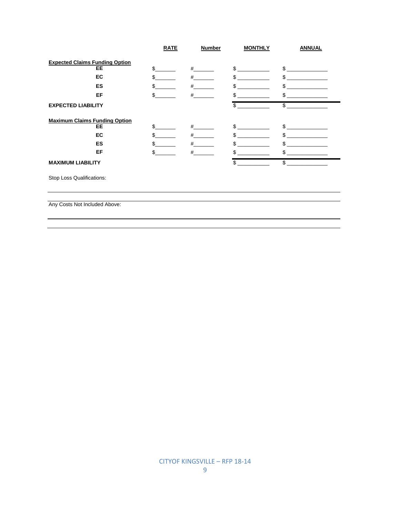|                                       | <b>RATE</b> | <b>Number</b> | <b>MONTHLY</b> | <b>ANNUAL</b> |
|---------------------------------------|-------------|---------------|----------------|---------------|
| <b>Expected Claims Funding Option</b> |             |               |                |               |
| <b>EE</b>                             | \$          | #             | \$             | \$            |
| <b>EC</b>                             | \$          | #             | \$             | \$            |
| ES                                    | \$          | #             | \$             | \$            |
| EF                                    | \$.         | #             | \$.            | \$            |
| <b>EXPECTED LIABILITY</b>             |             |               | \$             | \$            |
| <b>Maximum Claims Funding Option</b>  |             |               |                |               |
| EE                                    | \$.         | #             | \$             | \$            |
| EC                                    | \$.         | #             | \$.            | \$.           |
| ES                                    | \$.         | #             | \$             | \$            |
| EF                                    | \$.         | #             | \$             | \$            |
| <b>MAXIMUM LIABILITY</b>              |             |               | \$             | \$            |
| Stop Loss Qualifications:             |             |               |                |               |
|                                       |             |               |                |               |
|                                       |             |               |                |               |

 $\overline{a}$ 

Any Costs Not Included Above: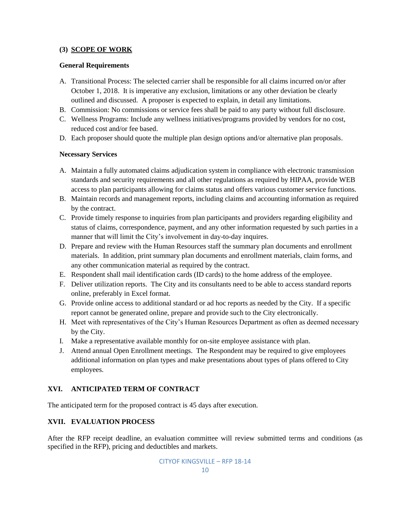## **(3) SCOPE OF WORK**

#### **General Requirements**

- A. Transitional Process: The selected carrier shall be responsible for all claims incurred on/or after October 1, 2018. It is imperative any exclusion, limitations or any other deviation be clearly outlined and discussed. A proposer is expected to explain, in detail any limitations.
- B. Commission: No commissions or service fees shall be paid to any party without full disclosure.
- C. Wellness Programs: Include any wellness initiatives/programs provided by vendors for no cost, reduced cost and/or fee based.
- D. Each proposer should quote the multiple plan design options and/or alternative plan proposals.

#### **Necessary Services**

- A. Maintain a fully automated claims adjudication system in compliance with electronic transmission standards and security requirements and all other regulations as required by HIPAA, provide WEB access to plan participants allowing for claims status and offers various customer service functions.
- B. Maintain records and management reports, including claims and accounting information as required by the contract.
- C. Provide timely response to inquiries from plan participants and providers regarding eligibility and status of claims, correspondence, payment, and any other information requested by such parties in a manner that will limit the City's involvement in day-to-day inquires.
- D. Prepare and review with the Human Resources staff the summary plan documents and enrollment materials. In addition, print summary plan documents and enrollment materials, claim forms, and any other communication material as required by the contract.
- E. Respondent shall mail identification cards (ID cards) to the home address of the employee.
- F. Deliver utilization reports. The City and its consultants need to be able to access standard reports online, preferably in Excel format.
- G. Provide online access to additional standard or ad hoc reports as needed by the City. If a specific report cannot be generated online, prepare and provide such to the City electronically.
- H. Meet with representatives of the City's Human Resources Department as often as deemed necessary by the City.
- I. Make a representative available monthly for on-site employee assistance with plan.
- J. Attend annual Open Enrollment meetings. The Respondent may be required to give employees additional information on plan types and make presentations about types of plans offered to City employees.

#### **XVI. ANTICIPATED TERM OF CONTRACT**

The anticipated term for the proposed contract is 45 days after execution.

## **XVII. EVALUATION PROCESS**

After the RFP receipt deadline, an evaluation committee will review submitted terms and conditions (as specified in the RFP), pricing and deductibles and markets.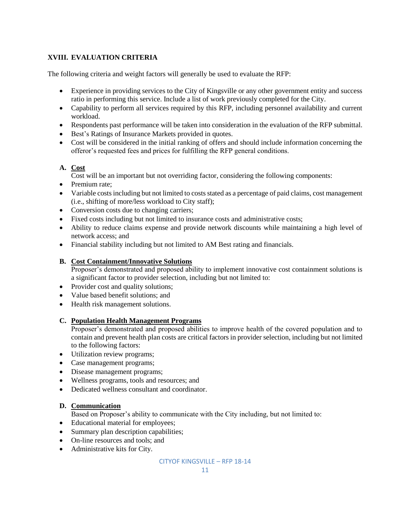## **XVIII. EVALUATION CRITERIA**

The following criteria and weight factors will generally be used to evaluate the RFP:

- Experience in providing services to the City of Kingsville or any other government entity and success ratio in performing this service. Include a list of work previously completed for the City.
- Capability to perform all services required by this RFP, including personnel availability and current workload.
- Respondents past performance will be taken into consideration in the evaluation of the RFP submittal.
- Best's Ratings of Insurance Markets provided in quotes.
- Cost will be considered in the initial ranking of offers and should include information concerning the offeror's requested fees and prices for fulfilling the RFP general conditions.

## **A. Cost**

Cost will be an important but not overriding factor, considering the following components:

- Premium rate:
- Variable costs including but not limited to costs stated as a percentage of paid claims, cost management (i.e., shifting of more/less workload to City staff);
- Conversion costs due to changing carriers;
- Fixed costs including but not limited to insurance costs and administrative costs;
- Ability to reduce claims expense and provide network discounts while maintaining a high level of network access; and
- Financial stability including but not limited to AM Best rating and financials.

## **B. Cost Containment/Innovative Solutions**

Proposer's demonstrated and proposed ability to implement innovative cost containment solutions is a significant factor to provider selection, including but not limited to:

- Provider cost and quality solutions;
- Value based benefit solutions; and
- Health risk management solutions.

#### **C. Population Health Management Programs**

Proposer's demonstrated and proposed abilities to improve health of the covered population and to contain and prevent health plan costs are critical factors in provider selection, including but not limited to the following factors:

- Utilization review programs;
- Case management programs;
- Disease management programs;
- Wellness programs, tools and resources; and
- Dedicated wellness consultant and coordinator.

## **D. Communication**

Based on Proposer's ability to communicate with the City including, but not limited to:

- Educational material for employees;
- Summary plan description capabilities;
- On-line resources and tools; and
- Administrative kits for City.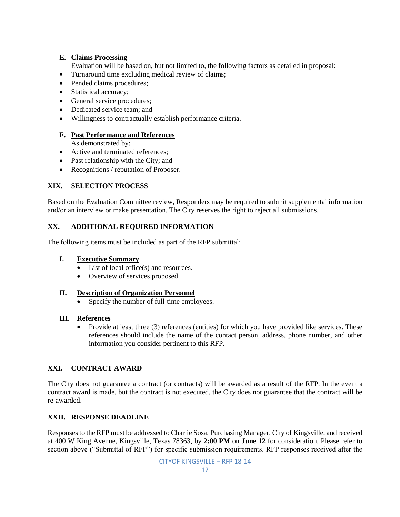## **E. Claims Processing**

Evaluation will be based on, but not limited to, the following factors as detailed in proposal:

- Turnaround time excluding medical review of claims;
- Pended claims procedures;
- Statistical accuracy;
- General service procedures;
- Dedicated service team; and
- Willingness to contractually establish performance criteria.

#### **F. Past Performance and References**

As demonstrated by:

- Active and terminated references:
- Past relationship with the City; and
- Recognitions / reputation of Proposer.

## **XIX. SELECTION PROCESS**

Based on the Evaluation Committee review, Responders may be required to submit supplemental information and/or an interview or make presentation. The City reserves the right to reject all submissions.

## **XX. ADDITIONAL REQUIRED INFORMATION**

The following items must be included as part of the RFP submittal:

#### **I. Executive Summary**

- List of local office(s) and resources.
- Overview of services proposed.

#### **II. Description of Organization Personnel**

Specify the number of full-time employees.

#### **III. References**

• Provide at least three (3) references (entities) for which you have provided like services. These references should include the name of the contact person, address, phone number, and other information you consider pertinent to this RFP.

## **XXI. CONTRACT AWARD**

The City does not guarantee a contract (or contracts) will be awarded as a result of the RFP. In the event a contract award is made, but the contract is not executed, the City does not guarantee that the contract will be re-awarded.

#### **XXII. RESPONSE DEADLINE**

Responses to the RFP must be addressed to Charlie Sosa, Purchasing Manager, City of Kingsville, and received at 400 W King Avenue, Kingsville, Texas 78363, by **2:00 PM** on **June 12** for consideration. Please refer to section above ("Submittal of RFP") for specific submission requirements. RFP responses received after the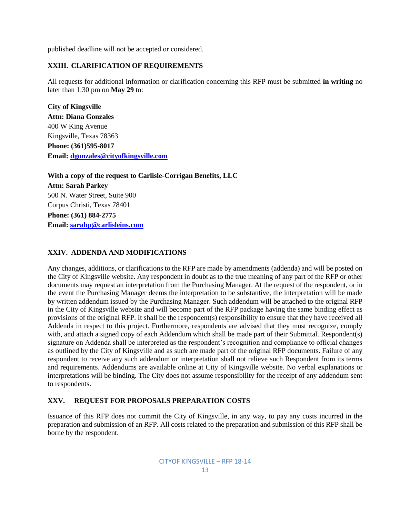published deadline will not be accepted or considered.

## **XXIII. CLARIFICATION OF REQUIREMENTS**

All requests for additional information or clarification concerning this RFP must be submitted **in writing** no later than 1:30 pm on **May 29** to:

**City of Kingsville Attn: Diana Gonzales** 400 W King Avenue Kingsville, Texas 78363 **Phone: (361)595-8017 Email: [dgonzales@cityofkingsville.com](mailto:dgonzales@cityofkingsville.com)**

**With a copy of the request to Carlisle-Corrigan Benefits, LLC Attn: Sarah Parkey** 500 N. Water Street, Suite 900 Corpus Christi, Texas 78401 **Phone: (361) 884-2775 Email: [sarahp@carlisleins.com](mailto:sarahp@carlisleins.com)**

## **XXIV. ADDENDA AND MODIFICATIONS**

Any changes, additions, or clarifications to the RFP are made by amendments (addenda) and will be posted on the City of Kingsville website. Any respondent in doubt as to the true meaning of any part of the RFP or other documents may request an interpretation from the Purchasing Manager. At the request of the respondent, or in the event the Purchasing Manager deems the interpretation to be substantive, the interpretation will be made by written addendum issued by the Purchasing Manager. Such addendum will be attached to the original RFP in the City of Kingsville website and will become part of the RFP package having the same binding effect as provisions of the original RFP. It shall be the respondent(s) responsibility to ensure that they have received all Addenda in respect to this project. Furthermore, respondents are advised that they must recognize, comply with, and attach a signed copy of each Addendum which shall be made part of their Submittal. Respondent(s) signature on Addenda shall be interpreted as the respondent's recognition and compliance to official changes as outlined by the City of Kingsville and as such are made part of the original RFP documents. Failure of any respondent to receive any such addendum or interpretation shall not relieve such Respondent from its terms and requirements. Addendums are available online at City of Kingsville website. No verbal explanations or interpretations will be binding. The City does not assume responsibility for the receipt of any addendum sent to respondents.

## **XXV. REQUEST FOR PROPOSALS PREPARATION COSTS**

Issuance of this RFP does not commit the City of Kingsville, in any way, to pay any costs incurred in the preparation and submission of an RFP. All costs related to the preparation and submission of this RFP shall be borne by the respondent.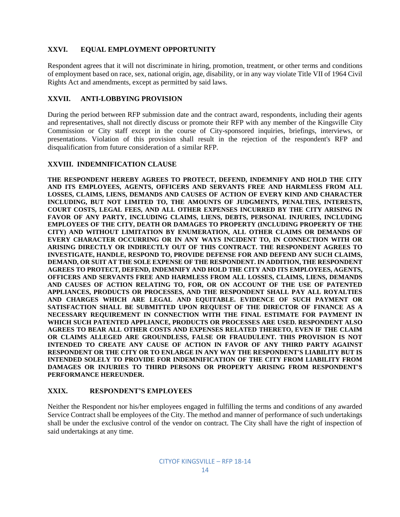## **XXVI. EQUAL EMPLOYMENT OPPORTUNITY**

Respondent agrees that it will not discriminate in hiring, promotion, treatment, or other terms and conditions of employment based on race, sex, national origin, age, disability, or in any way violate Title VII of 1964 Civil Rights Act and amendments, except as permitted by said laws.

## **XXVII. ANTI-LOBBYING PROVISION**

During the period between RFP submission date and the contract award, respondents, including their agents and representatives, shall not directly discuss or promote their RFP with any member of the Kingsville City Commission or City staff except in the course of City-sponsored inquiries, briefings, interviews, or presentations. Violation of this provision shall result in the rejection of the respondent's RFP and disqualification from future consideration of a similar RFP.

## **XXVIII. INDEMNIFICATION CLAUSE**

**THE RESPONDENT HEREBY AGREES TO PROTECT, DEFEND, INDEMNIFY AND HOLD THE CITY AND ITS EMPLOYEES, AGENTS, OFFICERS AND SERVANTS FREE AND HARMLESS FROM ALL LOSSES, CLAIMS, LIENS, DEMANDS AND CAUSES OF ACTION OF EVERY KIND AND CHARACTER INCLUDING, BUT NOT LIMITED TO, THE AMOUNTS OF JUDGMENTS, PENALTIES, INTERESTS, COURT COSTS, LEGAL FEES, AND ALL OTHER EXPENSES INCURRED BY THE CITY ARISING IN FAVOR OF ANY PARTY, INCLUDING CLAIMS, LIENS, DEBTS, PERSONAL INJURIES, INCLUDING EMPLOYEES OF THE CITY, DEATH OR DAMAGES TO PROPERTY (INCLUDING PROPERTY OF THE CITY) AND WITHOUT LIMITATION BY ENUMERATION, ALL OTHER CLAIMS OR DEMANDS OF EVERY CHARACTER OCCURRING OR IN ANY WAYS INCIDENT TO, IN CONNECTION WITH OR ARISING DIRECTLY OR INDIRECTLY OUT OF THIS CONTRACT. THE RESPONDENT AGREES TO INVESTIGATE, HANDLE, RESPOND TO, PROVIDE DEFENSE FOR AND DEFEND ANY SUCH CLAIMS, DEMAND, OR SUIT AT THE SOLE EXPENSE OF THE RESPONDENT. IN ADDITION, THE RESPONDENT AGREES TO PROTECT, DEFEND, INDEMNIFY AND HOLD THE CITY AND ITS EMPLOYEES, AGENTS, OFFICERS AND SERVANTS FREE AND HARMLESS FROM ALL LOSSES, CLAIMS, LIENS, DEMANDS AND CAUSES OF ACTION RELATING TO, FOR, OR ON ACCOUNT OF THE USE OF PATENTED APPLIANCES, PRODUCTS OR PROCESSES, AND THE RESPONDENT SHALL PAY ALL ROYALTIES AND CHARGES WHICH ARE LEGAL AND EQUITABLE. EVIDENCE OF SUCH PAYMENT OR SATISFACTION SHALL BE SUBMITTED UPON REQUEST OF THE DIRECTOR OF FINANCE AS A NECESSARY REQUIREMENT IN CONNECTION WITH THE FINAL ESTIMATE FOR PAYMENT IN WHICH SUCH PATENTED APPLIANCE, PRODUCTS OR PROCESSES ARE USED. RESPONDENT ALSO AGREES TO BEAR ALL OTHER COSTS AND EXPENSES RELATED THERETO, EVEN IF THE CLAIM OR CLAIMS ALLEGED ARE GROUNDLESS, FALSE OR FRAUDULENT. THIS PROVISION IS NOT INTENDED TO CREATE ANY CAUSE OF ACTION IN FAVOR OF ANY THIRD PARTY AGAINST RESPONDENT OR THE CITY OR TO ENLARGE IN ANY WAY THE RESPONDENT'S LIABILITY BUT IS INTENDED SOLELY TO PROVIDE FOR INDEMNIFICATION OF THE CITY FROM LIABILITY FROM DAMAGES OR INJURIES TO THIRD PERSONS OR PROPERTY ARISING FROM RESPONDENT'S PERFORMANCE HEREUNDER.**

#### **XXIX. RESPONDENT'S EMPLOYEES**

Neither the Respondent nor his/her employees engaged in fulfilling the terms and conditions of any awarded Service Contract shall be employees of the City. The method and manner of performance of such undertakings shall be under the exclusive control of the vendor on contract. The City shall have the right of inspection of said undertakings at any time.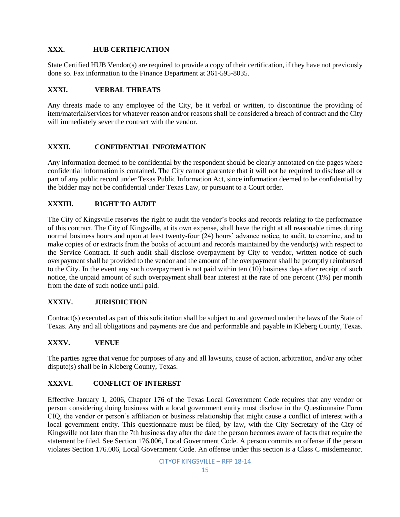## **XXX. HUB CERTIFICATION**

State Certified HUB Vendor(s) are required to provide a copy of their certification, if they have not previously done so. Fax information to the Finance Department at 361-595-8035.

## **XXXI. VERBAL THREATS**

Any threats made to any employee of the City, be it verbal or written, to discontinue the providing of item/material/services for whatever reason and/or reasons shall be considered a breach of contract and the City will immediately sever the contract with the vendor.

## **XXXII. CONFIDENTIAL INFORMATION**

Any information deemed to be confidential by the respondent should be clearly annotated on the pages where confidential information is contained. The City cannot guarantee that it will not be required to disclose all or part of any public record under Texas Public Information Act, since information deemed to be confidential by the bidder may not be confidential under Texas Law, or pursuant to a Court order.

## **XXXIII. RIGHT TO AUDIT**

The City of Kingsville reserves the right to audit the vendor's books and records relating to the performance of this contract. The City of Kingsville, at its own expense, shall have the right at all reasonable times during normal business hours and upon at least twenty-four (24) hours' advance notice, to audit, to examine, and to make copies of or extracts from the books of account and records maintained by the vendor(s) with respect to the Service Contract. If such audit shall disclose overpayment by City to vendor, written notice of such overpayment shall be provided to the vendor and the amount of the overpayment shall be promptly reimbursed to the City. In the event any such overpayment is not paid within ten (10) business days after receipt of such notice, the unpaid amount of such overpayment shall bear interest at the rate of one percent (1%) per month from the date of such notice until paid.

#### **XXXIV. JURISDICTION**

Contract(s) executed as part of this solicitation shall be subject to and governed under the laws of the State of Texas. Any and all obligations and payments are due and performable and payable in Kleberg County, Texas.

#### **XXXV. VENUE**

The parties agree that venue for purposes of any and all lawsuits, cause of action, arbitration, and/or any other dispute(s) shall be in Kleberg County, Texas.

#### **XXXVI. CONFLICT OF INTEREST**

Effective January 1, 2006, Chapter 176 of the Texas Local Government Code requires that any vendor or person considering doing business with a local government entity must disclose in the Questionnaire Form CIQ, the vendor or person's affiliation or business relationship that might cause a conflict of interest with a local government entity. This questionnaire must be filed, by law, with the City Secretary of the City of Kingsville not later than the 7th business day after the date the person becomes aware of facts that require the statement be filed. See Section 176.006, Local Government Code. A person commits an offense if the person violates Section 176.006, Local Government Code. An offense under this section is a Class C misdemeanor.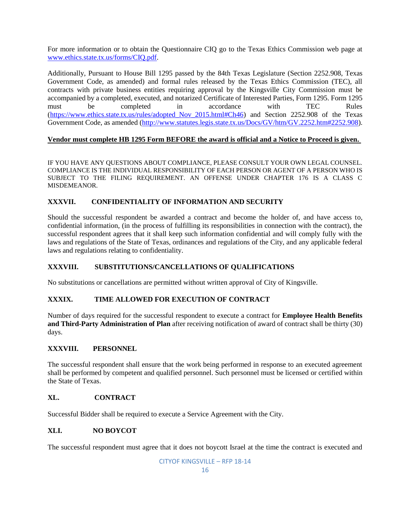For more information or to obtain the Questionnaire CIQ go to the Texas Ethics Commission web page at [www.ethics.state.tx.us/forms/CIQ.pdf.](http://www.ethics.state.tx.us/forms/CIQ.pdf)

Additionally, Pursuant to House Bill 1295 passed by the 84th Texas Legislature (Section 2252.908, Texas Government Code, as amended) and formal rules released by the Texas Ethics Commission (TEC), all contracts with private business entities requiring approval by the Kingsville City Commission must be accompanied by a completed, executed, and notarized Certificate of Interested Parties, Form 1295. Form 1295 must be completed in accordance with TEC Rules [\(https://www.ethics.state.tx.us/rules/adopted\\_Nov\\_2015.html#Ch46\)](https://www.ethics.state.tx.us/rules/adopted_Nov_2015.html#Ch46) and Section 2252.908 of the Texas Government Code, as amended [\(http://www.statutes.legis.state.tx.us/Docs/GV/htm/GV.2252.htm#2252.908\)](http://www.statutes.legis.state.tx.us/Docs/GV/htm/GV.2252.htm#2252.908).

## **Vendor must complete HB 1295 Form BEFORE the award is official and a Notice to Proceed is given.**

IF YOU HAVE ANY QUESTIONS ABOUT COMPLIANCE, PLEASE CONSULT YOUR OWN LEGAL COUNSEL. COMPLIANCE IS THE INDIVIDUAL RESPONSIBILITY OF EACH PERSON OR AGENT OF A PERSON WHO IS SUBJECT TO THE FILING REQUIREMENT. AN OFFENSE UNDER CHAPTER 176 IS A CLASS C MISDEMEANOR.

## **XXXVII. CONFIDENTIALITY OF INFORMATION AND SECURITY**

Should the successful respondent be awarded a contract and become the holder of, and have access to, confidential information, (in the process of fulfilling its responsibilities in connection with the contract), the successful respondent agrees that it shall keep such information confidential and will comply fully with the laws and regulations of the State of Texas, ordinances and regulations of the City, and any applicable federal laws and regulations relating to confidentiality.

#### **XXXVIII. SUBSTITUTIONS/CANCELLATIONS OF QUALIFICATIONS**

No substitutions or cancellations are permitted without written approval of City of Kingsville.

#### **XXXIX. TIME ALLOWED FOR EXECUTION OF CONTRACT**

Number of days required for the successful respondent to execute a contract for **Employee Health Benefits and Third-Party Administration of Plan** after receiving notification of award of contract shall be thirty (30) days.

#### **XXXVIII. PERSONNEL**

The successful respondent shall ensure that the work being performed in response to an executed agreement shall be performed by competent and qualified personnel. Such personnel must be licensed or certified within the State of Texas.

#### **XL. CONTRACT**

Successful Bidder shall be required to execute a Service Agreement with the City.

## **XLI. NO BOYCOT**

The successful respondent must agree that it does not boycott Israel at the time the contract is executed and